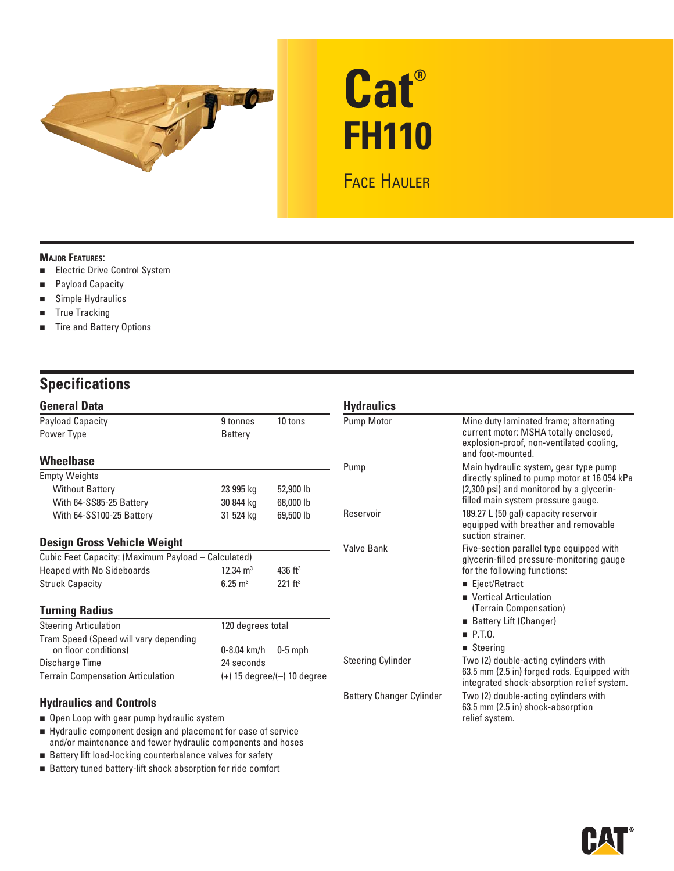

# **Cat® FH110**

## FACE HAULER

#### **MAJOR FEATURES:**

- **Electric Drive Control System**
- Payload Capacity
- Simple Hydraulics
- **True Tracking**
- **Tire and Battery Options**

## **Specifications**

| <b>General Data</b>                                                                      |                                  |                       | <b>Hydraulics</b>               |                                                                                                                                                  |
|------------------------------------------------------------------------------------------|----------------------------------|-----------------------|---------------------------------|--------------------------------------------------------------------------------------------------------------------------------------------------|
| <b>Payload Capacity</b><br>Power Type                                                    | 9 tonnes<br><b>Battery</b>       | 10 tons               | Pump Motor                      | Mine duty laminated frame; alternating<br>current motor: MSHA totally enclosed,<br>explosion-proof, non-ventilated cooling,<br>and foot-mounted. |
| <b>Wheelbase</b>                                                                         |                                  |                       | Pump                            | Main hydraulic system, gear type pump                                                                                                            |
| <b>Empty Weights</b>                                                                     |                                  |                       |                                 | directly splined to pump motor at 16 054 kPa                                                                                                     |
| <b>Without Battery</b>                                                                   | 23 995 kg                        | 52,900 lb             |                                 | (2,300 psi) and monitored by a glycerin-                                                                                                         |
| With 64-SS85-25 Battery                                                                  | 30 844 kg                        | 68,000 lb             |                                 | filled main system pressure gauge.                                                                                                               |
| With 64-SS100-25 Battery                                                                 | 31 524 kg                        | 69,500 lb             | Reservoir                       | 189.27 L (50 gal) capacity reservoir<br>equipped with breather and removable<br>suction strainer.                                                |
| <b>Design Gross Vehicle Weight</b>                                                       |                                  |                       | <b>Valve Bank</b>               |                                                                                                                                                  |
| Cubic Feet Capacity: (Maximum Payload - Calculated)                                      |                                  |                       |                                 | Five-section parallel type equipped with<br>glycerin-filled pressure-monitoring gauge                                                            |
| <b>Heaped with No Sideboards</b>                                                         | $12.34 \text{ m}^3$              | $436$ ft <sup>3</sup> |                                 | for the following functions:                                                                                                                     |
| <b>Struck Capacity</b>                                                                   | $6.25 \text{ m}^3$               | 221 ft <sup>3</sup>   |                                 | ■ Eject/Retract                                                                                                                                  |
|                                                                                          |                                  |                       |                                 | Vertical Articulation                                                                                                                            |
| <b>Turning Radius</b>                                                                    |                                  |                       |                                 | (Terrain Compensation)                                                                                                                           |
| <b>Steering Articulation</b>                                                             | 120 degrees total                |                       |                                 | Battery Lift (Changer)                                                                                                                           |
| Tram Speed (Speed will vary depending                                                    |                                  |                       |                                 | $\blacksquare$ P.T.O.                                                                                                                            |
| on floor conditions)                                                                     | $0 - 8.04$ km/h                  | $0-5$ mph             |                                 | $\blacksquare$ Steering                                                                                                                          |
| Discharge Time                                                                           | 24 seconds                       |                       | <b>Steering Cylinder</b>        | Two (2) double-acting cylinders with                                                                                                             |
| <b>Terrain Compensation Articulation</b>                                                 | $(+)$ 15 degree/ $(-)$ 10 degree |                       |                                 | 63.5 mm (2.5 in) forged rods. Equipped with<br>integrated shock-absorption relief system.                                                        |
| <b>Hydraulics and Controls</b>                                                           |                                  |                       | <b>Battery Changer Cylinder</b> | Two (2) double-acting cylinders with<br>63.5 mm (2.5 in) shock-absorption                                                                        |
| • Open Loop with gear pump hydraulic system                                              |                                  |                       |                                 | relief system.                                                                                                                                   |
| . The decoder of the company of the decision of the company of the company of the set of |                                  |                       |                                 |                                                                                                                                                  |

 Hydraulic component design and placement for ease of service and/or maintenance and fewer hydraulic components and hoses

Battery lift load-locking counterbalance valves for safety

Battery tuned battery-lift shock absorption for ride comfort

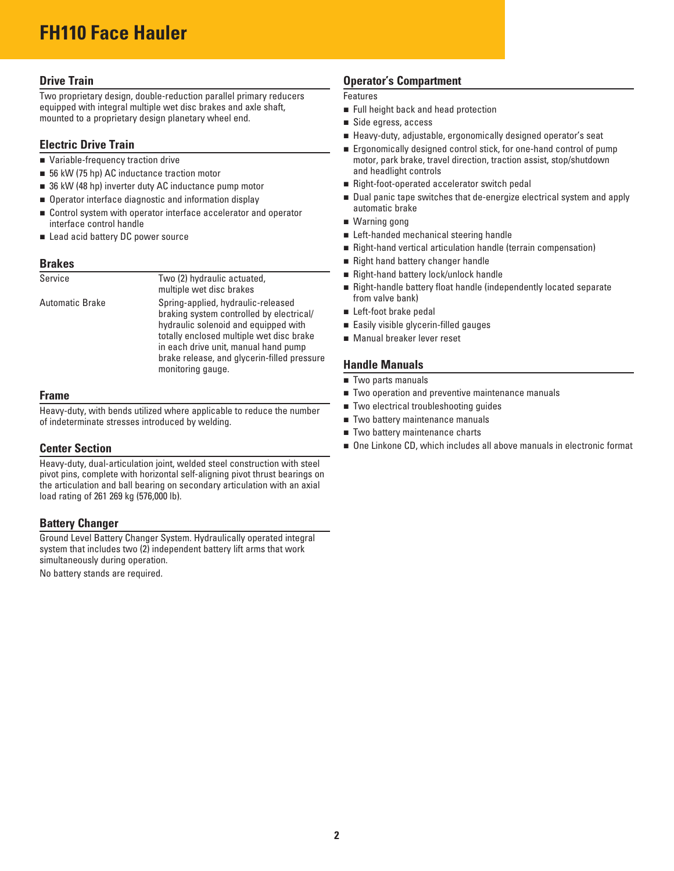#### **Drive Train**

Two proprietary design, double-reduction parallel primary reducers equipped with integral multiple wet disc brakes and axle shaft, mounted to a proprietary design planetary wheel end.

#### **Electric Drive Train**

- Variable-frequency traction drive
- 56 kW (75 hp) AC inductance traction motor
- 36 kW (48 hp) inverter duty AC inductance pump motor
- $\blacksquare$  Operator interface diagnostic and information display
- Control system with operator interface accelerator and operator interface control handle
- Lead acid battery DC power source

#### **Brakes**

| Service         | Two (2) hydraulic actuated,<br>multiple wet disc brakes                                                                                                                                                                                                                        |
|-----------------|--------------------------------------------------------------------------------------------------------------------------------------------------------------------------------------------------------------------------------------------------------------------------------|
| Automatic Brake | Spring-applied, hydraulic-released<br>braking system controlled by electrical/<br>hydraulic solenoid and equipped with<br>totally enclosed multiple wet disc brake<br>in each drive unit, manual hand pump<br>brake release, and glycerin-filled pressure<br>monitoring gauge. |

#### **Frame**

Heavy-duty, with bends utilized where applicable to reduce the number of indeterminate stresses introduced by welding.

#### **Center Section**

Heavy-duty, dual-articulation joint, welded steel construction with steel pivot pins, complete with horizontal self-aligning pivot thrust bearings on the articulation and ball bearing on secondary articulation with an axial load rating of 261 269 kg (576,000 lb).

#### **Battery Changer**

Ground Level Battery Changer System. Hydraulically operated integral system that includes two (2) independent battery lift arms that work simultaneously during operation.

No battery stands are required.

#### **Operator's Compartment**

#### Features

- **Full height back and head protection**
- Side egress, access
- Heavy-duty, adjustable, ergonomically designed operator's seat
- **Example 20 Figonomically designed control stick, for one-hand control of pump** motor, park brake, travel direction, traction assist, stop/shutdown and headlight controls
- Right-foot-operated accelerator switch pedal
- Dual panic tape switches that de-energize electrical system and apply automatic brake
- Warning gong
- Left-handed mechanical steering handle
- Right-hand vertical articulation handle (terrain compensation)
- Right hand battery changer handle
- Right-hand battery lock/unlock handle
- Right-handle battery float handle (independently located separate from valve bank)
- Left-foot brake pedal
- **Easily visible glycerin-filled gauges**
- Manual breaker lever reset

#### **Handle Manuals**

- Two parts manuals
- **Two operation and preventive maintenance manuals**
- Two electrical troubleshooting guides
- Two battery maintenance manuals
- Two battery maintenance charts
- One Linkone CD, which includes all above manuals in electronic format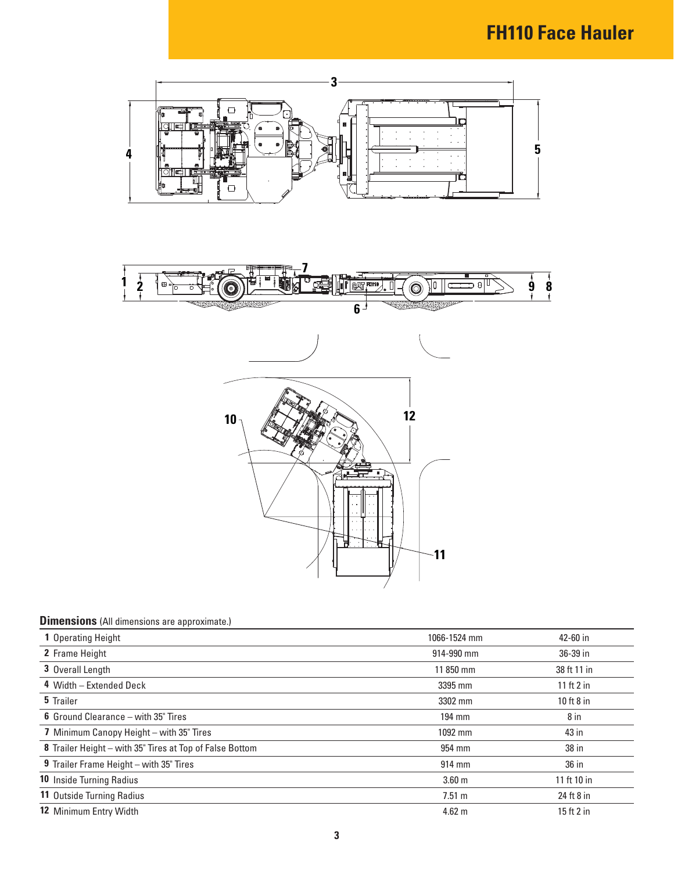

### **Dimensions** (All dimensions are approximate.)

| <b>1</b> Operating Height                                | 1066-1524 mm      | 42-60 in     |
|----------------------------------------------------------|-------------------|--------------|
| 2 Frame Height                                           | 914-990 mm        | 36-39 in     |
| 3 Overall Length                                         | 11 850 mm         | 38 ft 11 in  |
| 4 Width - Extended Deck                                  | 3395 mm           | 11 ft $2$ in |
| 5 Trailer                                                | 3302 mm           | 10 ft $8$ in |
| <b>6</b> Ground Clearance – with 35" Tires               | 194 mm            | 8 in         |
| 7 Minimum Canopy Height - with 35" Tires                 | 1092 mm           | 43 in        |
| 8 Trailer Height - with 35" Tires at Top of False Bottom | 954 mm            | 38 in        |
| 9 Trailer Frame Height - with 35" Tires                  | 914 mm            | 36 in        |
| <b>10 Inside Turning Radius</b>                          | 3.60 <sub>m</sub> | 11 ft 10 in  |
| 11 Outside Turning Radius                                | 7.51 m            | 24 ft 8 in   |
| <b>12 Minimum Entry Width</b>                            | $4.62 \text{ m}$  | 15 ft $2$ in |